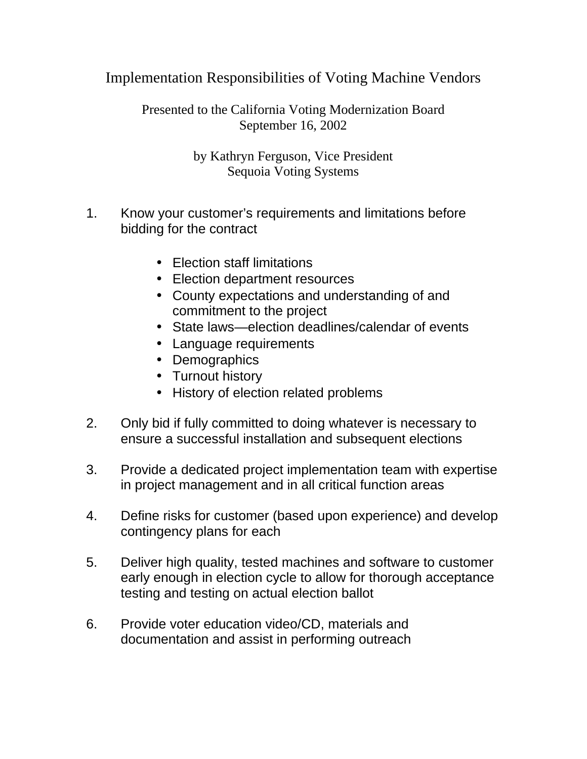Implementation Responsibilities of Voting Machine Vendors

Presented to the California Voting Modernization Board September 16, 2002

> by Kathryn Ferguson, Vice President Sequoia Voting Systems

- 1. Know your customer's requirements and limitations before bidding for the contract
	- Election staff limitations
	- Election department resources
	- County expectations and understanding of and commitment to the project
	- State laws—election deadlines/calendar of events
	- Language requirements
	- Demographics
	- Turnout history
	- History of election related problems
- 2. Only bid if fully committed to doing whatever is necessary to ensure a successful installation and subsequent elections
- 3. Provide a dedicated project implementation team with expertise in project management and in all critical function areas
- 4. Define risks for customer (based upon experience) and develop contingency plans for each
- 5. Deliver high quality, tested machines and software to customer early enough in election cycle to allow for thorough acceptance testing and testing on actual election ballot
- 6. Provide voter education video/CD, materials and documentation and assist in performing outreach